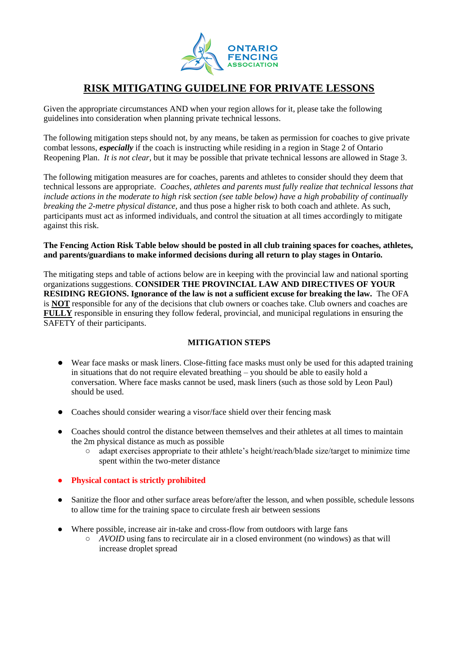

## **RISK MITIGATING GUIDELINE FOR PRIVATE LESSONS**

Given the appropriate circumstances AND when your region allows for it, please take the following guidelines into consideration when planning private technical lessons.

The following mitigation steps should not, by any means, be taken as permission for coaches to give private combat lessons, *especially* if the coach is instructing while residing in a region in Stage 2 of Ontario Reopening Plan. *It is not clear,* but it may be possible that private technical lessons are allowed in Stage 3.

The following mitigation measures are for coaches, parents and athletes to consider should they deem that technical lessons are appropriate. *Coaches, athletes and parents must fully realize that technical lessons that include actions in the moderate to high risk section (see table below) have a high probability of continually breaking the 2-metre physical distance*, and thus pose a higher risk to both coach and athlete. As such, participants must act as informed individuals, and control the situation at all times accordingly to mitigate against this risk.

## **The Fencing Action Risk Table below should be posted in all club training spaces for coaches, athletes, and parents/guardians to make informed decisions during all return to play stages in Ontario.**

The mitigating steps and table of actions below are in keeping with the provincial law and national sporting organizations suggestions. **CONSIDER THE PROVINCIAL LAW AND DIRECTIVES OF YOUR RESIDING REGIONS. Ignorance of the law is not a sufficient excuse for breaking the law.** The OFA is **NOT** responsible for any of the decisions that club owners or coaches take. Club owners and coaches are **FULLY** responsible in ensuring they follow federal, provincial, and municipal regulations in ensuring the SAFETY of their participants.

## **MITIGATION STEPS**

- Wear face masks or mask liners. Close-fitting face masks must only be used for this adapted training in situations that do not require elevated breathing – you should be able to easily hold a conversation. Where face masks cannot be used, mask liners (such as those sold by Leon Paul) should be used.
- Coaches should consider wearing a visor/face shield over their fencing mask
- Coaches should control the distance between themselves and their athletes at all times to maintain the 2m physical distance as much as possible
	- adapt exercises appropriate to their athlete's height/reach/blade size/target to minimize time spent within the two-meter distance
- **Physical contact is strictly prohibited**
- Sanitize the floor and other surface areas before/after the lesson, and when possible, schedule lessons to allow time for the training space to circulate fresh air between sessions
- Where possible, increase air in-take and cross-flow from outdoors with large fans
	- *AVOID* using fans to recirculate air in a closed environment (no windows) as that will increase droplet spread